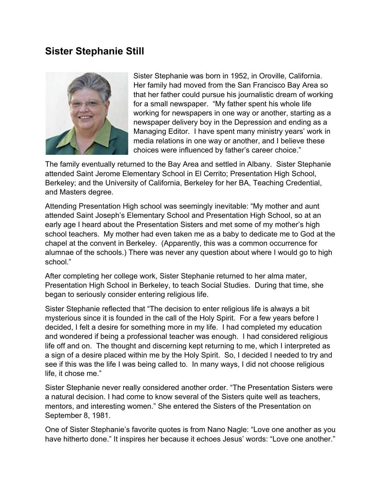## **Sister Stephanie Still**



Sister Stephanie was born in 1952, in Oroville, California. Her family had moved from the San Francisco Bay Area so that her father could pursue his journalistic dream of working for a small newspaper. "My father spent his whole life working for newspapers in one way or another, starting as a newspaper delivery boy in the Depression and ending as a Managing Editor. I have spent many ministry years' work in media relations in one way or another, and I believe these choices were influenced by father's career choice."

The family eventually returned to the Bay Area and settled in Albany. Sister Stephanie attended Saint Jerome Elementary School in El Cerrito; Presentation High School, Berkeley; and the University of California, Berkeley for her BA, Teaching Credential, and Masters degree.

Attending Presentation High school was seemingly inevitable: "My mother and aunt attended Saint Joseph's Elementary School and Presentation High School, so at an early age I heard about the Presentation Sisters and met some of my mother's high school teachers. My mother had even taken me as a baby to dedicate me to God at the chapel at the convent in Berkeley. (Apparently, this was a common occurrence for alumnae of the schools.) There was never any question about where I would go to high school."

After completing her college work, Sister Stephanie returned to her alma mater, Presentation High School in Berkeley, to teach Social Studies. During that time, she began to seriously consider entering religious life.

Sister Stephanie reflected that "The decision to enter religious life is always a bit mysterious since it is founded in the call of the Holy Spirit. For a few years before I decided, I felt a desire for something more in my life. I had completed my education and wondered if being a professional teacher was enough. I had considered religious life off and on. The thought and discerning kept returning to me, which I interpreted as a sign of a desire placed within me by the Holy Spirit. So, I decided I needed to try and see if this was the life I was being called to. In many ways, I did not choose religious life, it chose me."

Sister Stephanie never really considered another order. "The Presentation Sisters were a natural decision. I had come to know several of the Sisters quite well as teachers, mentors, and interesting women." She entered the Sisters of the Presentation on September 8, 1981.

One of Sister Stephanie's favorite quotes is from Nano Nagle: "Love one another as you have hitherto done." It inspires her because it echoes Jesus' words: "Love one another."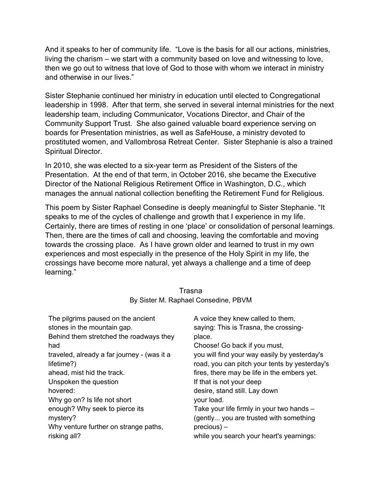And it speaks to her of community life. "Love is the basis for all our actions, ministries, living the charism – we start with a community based on love and witnessing to love, then we go out to witness that love of God to those with whom we interact in ministry and otherwise in our lives."

Sister Stephanie continued her ministry in education until elected to Congregational leadership in 1998. After that term, she served in several internal ministries for the next leadership team, including Communicator, Vocations Director, and Chair of the Community Support Trust. She also gained valuable board experience serving on boards for Presentation ministries, as well as SafeHouse, a ministry devoted to prostituted women, and Vallombrosa Retreat Center. Sister Stephanie is also a trained Spiritual Director.

In 2010, she was elected to a six-year term as President of the Sisters of the Presentation. At the end of that term, in October 2016, she became the Executive Director of the National Religious Retirement Office in Washington, D.C., which manages the annual national collection benefiting the Retirement Fund for Religious.

This poem by Sister Raphael Consedine is deeply meaningful to Sister Stephanie. "It speaks to me of the cycles of challenge and growth that I experience in my life. Certainly, there are times of resting in one 'place' or consolidation of personal learnings. Then, there are the times of call and choosing, leaving the comfortable and moving towards the crossing place. As I have grown older and learned to trust in my own experiences and most especially in the presence of the Holy Spirit in my life, the crossings have become more natural, yet always a challenge and a time of deep learning."

| The pilgrims paused on the ancient<br>stones in the mountain gap. | A voice they knew called to them,<br>saying: This is Trasna, the crossing- |
|-------------------------------------------------------------------|----------------------------------------------------------------------------|
| Behind them stretched the roadways they                           | place.                                                                     |
| had                                                               | Choose! Go back if you must,                                               |
| traveled, already a far journey - (was it a                       | you will find your way easily by yesterday's                               |
| lifetime?)                                                        | road, you can pitch your tents by yesterday's                              |
| ahead, mist hid the track.                                        | fires, there may be life in the embers yet.                                |
| Unspoken the question                                             | If that is not your deep                                                   |
| hovered:                                                          | desire, stand still. Lay down                                              |
| Why go on? Is life not short                                      | your load.                                                                 |
| enough? Why seek to pierce its                                    | Take your life firmly in your two hands -                                  |
| mystery?                                                          | (gently you are trusted with something                                     |
| Why venture further on strange paths,                             | $precious$ ) –                                                             |
| risking all?                                                      | while you search your heart's yearnings:                                   |

## Trasna By Sister M. Raphael Consedine, PBVM